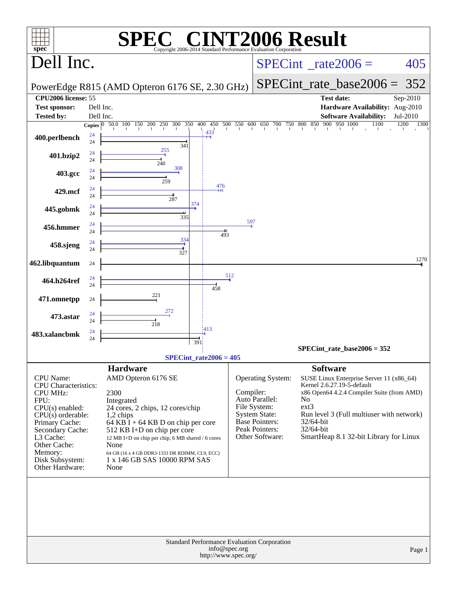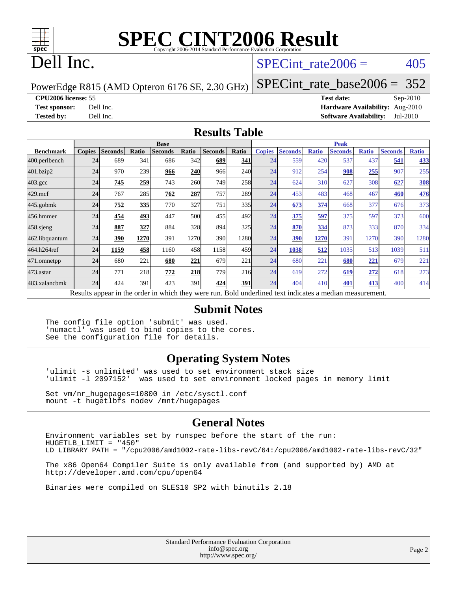

# **[SPEC CINT2006 Result](http://www.spec.org/auto/cpu2006/Docs/result-fields.html#SPECCINT2006Result)**

## Dell Inc.

#### SPECint rate $2006 = 405$

PowerEdge R815 (AMD Opteron 6176 SE, 2.30 GHz)

[SPECint\\_rate\\_base2006 =](http://www.spec.org/auto/cpu2006/Docs/result-fields.html#SPECintratebase2006) 352

**[CPU2006 license:](http://www.spec.org/auto/cpu2006/Docs/result-fields.html#CPU2006license)** 55 **[Test date:](http://www.spec.org/auto/cpu2006/Docs/result-fields.html#Testdate)** Sep-2010

**[Test sponsor:](http://www.spec.org/auto/cpu2006/Docs/result-fields.html#Testsponsor)** Dell Inc. **[Hardware Availability:](http://www.spec.org/auto/cpu2006/Docs/result-fields.html#HardwareAvailability)** Aug-2010 **[Tested by:](http://www.spec.org/auto/cpu2006/Docs/result-fields.html#Testedby)** Dell Inc. **[Software Availability:](http://www.spec.org/auto/cpu2006/Docs/result-fields.html#SoftwareAvailability)** Jul-2010

#### **[Results Table](http://www.spec.org/auto/cpu2006/Docs/result-fields.html#ResultsTable)**

|                    | <b>Base</b>   |                |       |                                                                                                          |            |                |       |               | <b>Peak</b>    |              |                |              |                |              |  |
|--------------------|---------------|----------------|-------|----------------------------------------------------------------------------------------------------------|------------|----------------|-------|---------------|----------------|--------------|----------------|--------------|----------------|--------------|--|
| <b>Benchmark</b>   | <b>Copies</b> | <b>Seconds</b> | Ratio | <b>Seconds</b>                                                                                           | Ratio      | <b>Seconds</b> | Ratio | <b>Copies</b> | <b>Seconds</b> | <b>Ratio</b> | <b>Seconds</b> | <b>Ratio</b> | <b>Seconds</b> | <b>Ratio</b> |  |
| 400.perlbench      | 24            | 689            | 341   | 686                                                                                                      | 342        | 689            | 341   | 24            | 559            | 420          | 537            | 437          | 541            | 433          |  |
| 401.bzip2          | 24            | 970            | 239   | 966                                                                                                      | <b>240</b> | 966            | 240l  | 24            | 912            | 254          | 908            | 255          | 907            | 255          |  |
| $403.\mathrm{gcc}$ | 24            | 745            | 259   | 743                                                                                                      | <b>260</b> | 749            | 258   | 24            | 624            | 310          | 627            | 308          | 627            | <b>308</b>   |  |
| $429$ .mcf         | 24            | 767            | 285   | 762                                                                                                      | 287        | 757            | 289   | 24            | 453            | 483          | 468            | 467          | 460            | <u>476</u>   |  |
| $445$ .gobm $k$    | 24            | 752            | 335   | 770                                                                                                      | 327        | 751            | 335I  | 24            | 673            | 374          | 668            | 377          | 676            | 373          |  |
| 456.hmmer          | 24            | 454            | 493   | 447                                                                                                      | 500        | 455            | 492l  | 24            | <u>375</u>     | 597          | 375            | 597          | 373            | 600          |  |
| $458$ .sjeng       | 24            | 887            | 327   | 884                                                                                                      | 328        | 894            | 325   | 24            | 870            | 334          | 873            | 333          | 870            | 334          |  |
| 462.libquantum     | 24            | 390            | 1270  | 391                                                                                                      | 1270       | 390            | 12801 | 24            | 390            | 1270         | 391            | 1270         | 390            | 1280         |  |
| 464.h264ref        | 24            | 1159           | 458   | 1160                                                                                                     | 458        | 1158           | 459   | 24            | 1038           | 512          | 1035           | 513          | 1039           | 511          |  |
| 471.omnetpp        | 24            | 680            | 221   | 680                                                                                                      | 221        | 679            | 221   | 24            | 680            | 221          | 680            | 221          | 679            | 221          |  |
| $473$ . astar      | 24            | 771            | 218   | 772                                                                                                      | <b>218</b> | 779            | 216   | 24            | 619            | 272          | 619            | 272          | 618            | 273          |  |
| 483.xalancbmk      | 24            | 424            | 391   | 423                                                                                                      | 391        | 424            | 391   | 24            | 404            | 410          | 401            | 413          | 400            | 414          |  |
|                    |               |                |       | Results appear in the order in which they were run. Bold underlined text indicates a median measurement. |            |                |       |               |                |              |                |              |                |              |  |

#### **[Submit Notes](http://www.spec.org/auto/cpu2006/Docs/result-fields.html#SubmitNotes)**

The config file option 'submit' was used. 'numactl' was used to bind copies to the cores. See the configuration file for details.

#### **[Operating System Notes](http://www.spec.org/auto/cpu2006/Docs/result-fields.html#OperatingSystemNotes)**

'ulimit -s unlimited' was used to set environment stack size 'ulimit -l 2097152' was used to set environment locked pages in memory limit

Set vm/nr\_hugepages=10800 in /etc/sysctl.conf mount -t hugetlbfs nodev /mnt/hugepages

#### **[General Notes](http://www.spec.org/auto/cpu2006/Docs/result-fields.html#GeneralNotes)**

Environment variables set by runspec before the start of the run: HUGETLB\_LIMIT = "450" LD\_LIBRARY\_PATH = "/cpu2006/amd1002-rate-libs-revC/64:/cpu2006/amd1002-rate-libs-revC/32"

The x86 Open64 Compiler Suite is only available from (and supported by) AMD at <http://developer.amd.com/cpu/open64>

Binaries were compiled on SLES10 SP2 with binutils 2.18

Standard Performance Evaluation Corporation [info@spec.org](mailto:info@spec.org) <http://www.spec.org/>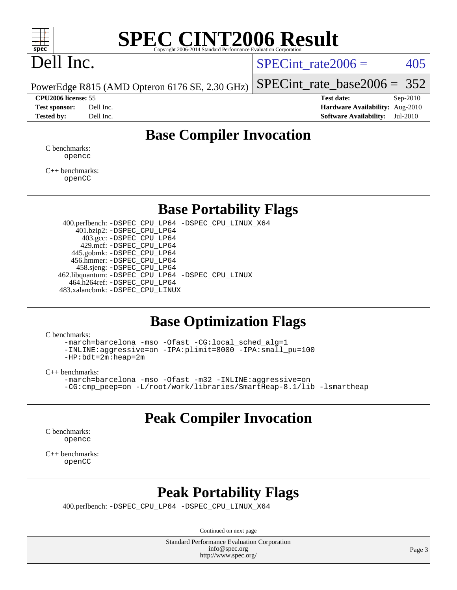

# **[SPEC CINT2006 Result](http://www.spec.org/auto/cpu2006/Docs/result-fields.html#SPECCINT2006Result)**

# Dell Inc.

SPECint rate $2006 = 405$ 

[SPECint\\_rate\\_base2006 =](http://www.spec.org/auto/cpu2006/Docs/result-fields.html#SPECintratebase2006) 352

PowerEdge R815 (AMD Opteron 6176 SE, 2.30 GHz)

**[CPU2006 license:](http://www.spec.org/auto/cpu2006/Docs/result-fields.html#CPU2006license)** 55 **[Test date:](http://www.spec.org/auto/cpu2006/Docs/result-fields.html#Testdate)** Sep-2010 **[Test sponsor:](http://www.spec.org/auto/cpu2006/Docs/result-fields.html#Testsponsor)** Dell Inc. **[Hardware Availability:](http://www.spec.org/auto/cpu2006/Docs/result-fields.html#HardwareAvailability)** Aug-2010 **[Tested by:](http://www.spec.org/auto/cpu2006/Docs/result-fields.html#Testedby)** Dell Inc. **[Software Availability:](http://www.spec.org/auto/cpu2006/Docs/result-fields.html#SoftwareAvailability)** Jul-2010

#### **[Base Compiler Invocation](http://www.spec.org/auto/cpu2006/Docs/result-fields.html#BaseCompilerInvocation)**

[C benchmarks](http://www.spec.org/auto/cpu2006/Docs/result-fields.html#Cbenchmarks): [opencc](http://www.spec.org/cpu2006/results/res2010q3/cpu2006-20100914-13279.flags.html#user_CCbase_Fopencc)

[C++ benchmarks:](http://www.spec.org/auto/cpu2006/Docs/result-fields.html#CXXbenchmarks) [openCC](http://www.spec.org/cpu2006/results/res2010q3/cpu2006-20100914-13279.flags.html#user_CXXbase_FopenCC)

#### **[Base Portability Flags](http://www.spec.org/auto/cpu2006/Docs/result-fields.html#BasePortabilityFlags)**

 400.perlbench: [-DSPEC\\_CPU\\_LP64](http://www.spec.org/cpu2006/results/res2010q3/cpu2006-20100914-13279.flags.html#b400.perlbench_basePORTABILITY_DSPEC_CPU_LP64) [-DSPEC\\_CPU\\_LINUX\\_X64](http://www.spec.org/cpu2006/results/res2010q3/cpu2006-20100914-13279.flags.html#b400.perlbench_baseCPORTABILITY_DSPEC_CPU_LINUX_X64) 401.bzip2: [-DSPEC\\_CPU\\_LP64](http://www.spec.org/cpu2006/results/res2010q3/cpu2006-20100914-13279.flags.html#suite_basePORTABILITY401_bzip2_DSPEC_CPU_LP64) 403.gcc: [-DSPEC\\_CPU\\_LP64](http://www.spec.org/cpu2006/results/res2010q3/cpu2006-20100914-13279.flags.html#suite_basePORTABILITY403_gcc_DSPEC_CPU_LP64) 429.mcf: [-DSPEC\\_CPU\\_LP64](http://www.spec.org/cpu2006/results/res2010q3/cpu2006-20100914-13279.flags.html#suite_basePORTABILITY429_mcf_DSPEC_CPU_LP64) 445.gobmk: [-DSPEC\\_CPU\\_LP64](http://www.spec.org/cpu2006/results/res2010q3/cpu2006-20100914-13279.flags.html#suite_basePORTABILITY445_gobmk_DSPEC_CPU_LP64) 456.hmmer: [-DSPEC\\_CPU\\_LP64](http://www.spec.org/cpu2006/results/res2010q3/cpu2006-20100914-13279.flags.html#suite_basePORTABILITY456_hmmer_DSPEC_CPU_LP64) 458.sjeng: [-DSPEC\\_CPU\\_LP64](http://www.spec.org/cpu2006/results/res2010q3/cpu2006-20100914-13279.flags.html#suite_basePORTABILITY458_sjeng_DSPEC_CPU_LP64) 462.libquantum: [-DSPEC\\_CPU\\_LP64](http://www.spec.org/cpu2006/results/res2010q3/cpu2006-20100914-13279.flags.html#suite_basePORTABILITY462_libquantum_DSPEC_CPU_LP64) [-DSPEC\\_CPU\\_LINUX](http://www.spec.org/cpu2006/results/res2010q3/cpu2006-20100914-13279.flags.html#b462.libquantum_baseCPORTABILITY_DSPEC_CPU_LINUX) 464.h264ref: [-DSPEC\\_CPU\\_LP64](http://www.spec.org/cpu2006/results/res2010q3/cpu2006-20100914-13279.flags.html#suite_basePORTABILITY464_h264ref_DSPEC_CPU_LP64) 483.xalancbmk: [-DSPEC\\_CPU\\_LINUX](http://www.spec.org/cpu2006/results/res2010q3/cpu2006-20100914-13279.flags.html#b483.xalancbmk_baseCXXPORTABILITY_DSPEC_CPU_LINUX)

#### **[Base Optimization Flags](http://www.spec.org/auto/cpu2006/Docs/result-fields.html#BaseOptimizationFlags)**

[C benchmarks](http://www.spec.org/auto/cpu2006/Docs/result-fields.html#Cbenchmarks):

[-march=barcelona](http://www.spec.org/cpu2006/results/res2010q3/cpu2006-20100914-13279.flags.html#user_CCbase_F-march_8ea39521cada96f307a04d0b8b9c6ffb) [-mso](http://www.spec.org/cpu2006/results/res2010q3/cpu2006-20100914-13279.flags.html#user_CCbase_F-mso) [-Ofast](http://www.spec.org/cpu2006/results/res2010q3/cpu2006-20100914-13279.flags.html#user_CCbase_F-Ofast) [-CG:local\\_sched\\_alg=1](http://www.spec.org/cpu2006/results/res2010q3/cpu2006-20100914-13279.flags.html#user_CCbase_F-CG:local_sched_alg_2175ca61f1a2717f1ec57b14995b9e7a) [-INLINE:aggressive=on](http://www.spec.org/cpu2006/results/res2010q3/cpu2006-20100914-13279.flags.html#user_CCbase_F-INLINE:aggressive_e14807c0a1e56a6a83cb25ab07c7ae8a) [-IPA:plimit=8000](http://www.spec.org/cpu2006/results/res2010q3/cpu2006-20100914-13279.flags.html#user_CCbase_F-IPA:plimit_92cba83f3d47f09c7d5368fda93ddbd7) [-IPA:small\\_pu=100](http://www.spec.org/cpu2006/results/res2010q3/cpu2006-20100914-13279.flags.html#user_CCbase_F-IPA:small_pu_900a09767c6929d55c26ea3d32399996) [-HP:bdt=2m:heap=2m](http://www.spec.org/cpu2006/results/res2010q3/cpu2006-20100914-13279.flags.html#user_CCbase_F-HUGEPAGE_855e97383b49831f390a2af16fe7202f)

[C++ benchmarks:](http://www.spec.org/auto/cpu2006/Docs/result-fields.html#CXXbenchmarks)

```
-march=barcelona -mso -Ofast -m32 -INLINE:aggressive=on
-CG:cmp_peep=on -L/root/work/libraries/SmartHeap-8.1/lib -lsmartheap
```
### **[Peak Compiler Invocation](http://www.spec.org/auto/cpu2006/Docs/result-fields.html#PeakCompilerInvocation)**

[C benchmarks](http://www.spec.org/auto/cpu2006/Docs/result-fields.html#Cbenchmarks): [opencc](http://www.spec.org/cpu2006/results/res2010q3/cpu2006-20100914-13279.flags.html#user_CCpeak_Fopencc)

[C++ benchmarks:](http://www.spec.org/auto/cpu2006/Docs/result-fields.html#CXXbenchmarks) [openCC](http://www.spec.org/cpu2006/results/res2010q3/cpu2006-20100914-13279.flags.html#user_CXXpeak_FopenCC)

### **[Peak Portability Flags](http://www.spec.org/auto/cpu2006/Docs/result-fields.html#PeakPortabilityFlags)**

400.perlbench: [-DSPEC\\_CPU\\_LP64](http://www.spec.org/cpu2006/results/res2010q3/cpu2006-20100914-13279.flags.html#b400.perlbench_peakPORTABILITY_DSPEC_CPU_LP64) [-DSPEC\\_CPU\\_LINUX\\_X64](http://www.spec.org/cpu2006/results/res2010q3/cpu2006-20100914-13279.flags.html#b400.perlbench_peakCPORTABILITY_DSPEC_CPU_LINUX_X64)

Continued on next page

Standard Performance Evaluation Corporation [info@spec.org](mailto:info@spec.org) <http://www.spec.org/>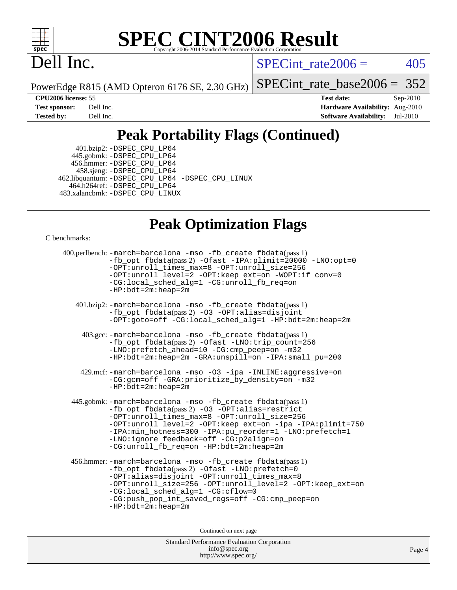

# **[SPEC CINT2006 Result](http://www.spec.org/auto/cpu2006/Docs/result-fields.html#SPECCINT2006Result)**

## Dell Inc.

SPECint rate $2006 = 405$ 

PowerEdge R815 (AMD Opteron 6176 SE, 2.30 GHz)

[SPECint\\_rate\\_base2006 =](http://www.spec.org/auto/cpu2006/Docs/result-fields.html#SPECintratebase2006) 352

**[CPU2006 license:](http://www.spec.org/auto/cpu2006/Docs/result-fields.html#CPU2006license)** 55 **[Test date:](http://www.spec.org/auto/cpu2006/Docs/result-fields.html#Testdate)** Sep-2010 **[Test sponsor:](http://www.spec.org/auto/cpu2006/Docs/result-fields.html#Testsponsor)** Dell Inc. **[Hardware Availability:](http://www.spec.org/auto/cpu2006/Docs/result-fields.html#HardwareAvailability)** Aug-2010 **[Tested by:](http://www.spec.org/auto/cpu2006/Docs/result-fields.html#Testedby)** Dell Inc. **[Software Availability:](http://www.spec.org/auto/cpu2006/Docs/result-fields.html#SoftwareAvailability)** Jul-2010

## **[Peak Portability Flags \(Continued\)](http://www.spec.org/auto/cpu2006/Docs/result-fields.html#PeakPortabilityFlags)**

 401.bzip2: [-DSPEC\\_CPU\\_LP64](http://www.spec.org/cpu2006/results/res2010q3/cpu2006-20100914-13279.flags.html#suite_peakPORTABILITY401_bzip2_DSPEC_CPU_LP64) 445.gobmk: [-DSPEC\\_CPU\\_LP64](http://www.spec.org/cpu2006/results/res2010q3/cpu2006-20100914-13279.flags.html#suite_peakPORTABILITY445_gobmk_DSPEC_CPU_LP64) 456.hmmer: [-DSPEC\\_CPU\\_LP64](http://www.spec.org/cpu2006/results/res2010q3/cpu2006-20100914-13279.flags.html#suite_peakPORTABILITY456_hmmer_DSPEC_CPU_LP64) 458.sjeng: [-DSPEC\\_CPU\\_LP64](http://www.spec.org/cpu2006/results/res2010q3/cpu2006-20100914-13279.flags.html#suite_peakPORTABILITY458_sjeng_DSPEC_CPU_LP64) 462.libquantum: [-DSPEC\\_CPU\\_LP64](http://www.spec.org/cpu2006/results/res2010q3/cpu2006-20100914-13279.flags.html#suite_peakPORTABILITY462_libquantum_DSPEC_CPU_LP64) [-DSPEC\\_CPU\\_LINUX](http://www.spec.org/cpu2006/results/res2010q3/cpu2006-20100914-13279.flags.html#b462.libquantum_peakCPORTABILITY_DSPEC_CPU_LINUX) 464.h264ref: [-DSPEC\\_CPU\\_LP64](http://www.spec.org/cpu2006/results/res2010q3/cpu2006-20100914-13279.flags.html#suite_peakPORTABILITY464_h264ref_DSPEC_CPU_LP64) 483.xalancbmk: [-DSPEC\\_CPU\\_LINUX](http://www.spec.org/cpu2006/results/res2010q3/cpu2006-20100914-13279.flags.html#b483.xalancbmk_peakCXXPORTABILITY_DSPEC_CPU_LINUX)

### **[Peak Optimization Flags](http://www.spec.org/auto/cpu2006/Docs/result-fields.html#PeakOptimizationFlags)**

[C benchmarks](http://www.spec.org/auto/cpu2006/Docs/result-fields.html#Cbenchmarks):

```
 400.perlbench: -march=barcelona -mso -fb_create fbdata(pass 1)
           -fb_opt fbdata(pass 2) -Ofast -IPA:plimit=20000 -LNO:opt=0
           -OPT:unroll_times_max=8 -OPT:unroll_size=256
           -OPT:unroll_level=2 -OPT:keep_ext=on -WOPT:if_conv=0
           -CG:local_sched_alg=1 -CG:unroll_fb_req=on
           -HP:bdt=2m:heap=2m
    401.bzip2: -march=barcelona -mso -fb_create fbdata(pass 1)
           -fb_opt fbdata(pass 2) -O3 -OPT:alias=disjoint
           -OPT:goto=off -CG:local_sched_alg=1 -HP:bdt=2m:heap=2m
     403.gcc: -march=barcelona -mso -fb_create fbdata(pass 1)
           -fb_opt fbdata(pass 2) -Ofast -LNO:trip_count=256
           -LNO:prefetch_ahead=10 -CG:cmp_peep=on -m32
           -HP:bdt=2m:heap=2m -GRA:unspill=on -IPA:small_pu=200
     429.mcf: -march=barcelona -mso -O3 -ipa -INLINE:aggressive=on
           -CG:gcm=off -GRA:prioritize_by_density=on -m32
          -HP:bdt=2m:heap=2m
  445.gobmk: -march=barcelona -mso -fb_create fbdata(pass 1)
           -fb_opt fbdata(pass 2) -O3 -OPT:alias=restrict
           -OPT:unroll_times_max=8 -OPT:unroll_size=256
           -OPT:unroll_level=2 -OPT:keep_ext=on -ipa -IPA:plimit=750
           -IPA:min_hotness=300-IPA:pu_reorder=1-LNO:prefetch=1
           -LNO:ignore_feedback=off -CG:p2align=on
           -CG:unroll_fb_req=on -HP:bdt=2m:heap=2m
  456.hmmer: -march=barcelona -mso -fb_create fbdata(pass 1)
           -fb_opt fbdata(pass 2) -Ofast -LNO:prefetch=0
           -OPT:alias=disjoint -OPT:unroll_times_max=8
           -OPT:unroll_size=256 -OPT:unroll_level=2 -OPT:keep_ext=on
           -CG:local_sched_alg=1 -CG:cflow=0
           -CG:push_pop_int_saved_regs=off -CG:cmp_peep=on
           -HP:bdt=2m:heap=2m
                                Continued on next page
```